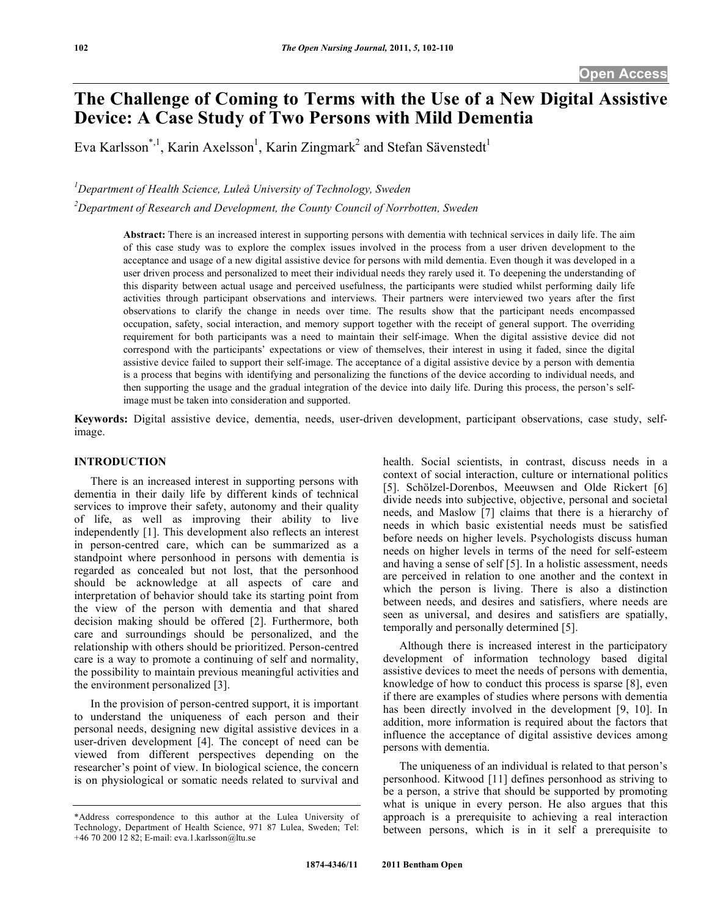# **The Challenge of Coming to Terms with the Use of a New Digital Assistive Device: A Case Study of Two Persons with Mild Dementia**

Eva Karlsson\*,<sup>1</sup>, Karin Axelsson<sup>1</sup>, Karin Zingmark<sup>2</sup> and Stefan Sävenstedt<sup>1</sup>

<sup>1</sup>Department of Health Science, Luleå University of Technology, Sweden

*2 Department of Research and Development, the County Council of Norrbotten, Sweden* 

**Abstract:** There is an increased interest in supporting persons with dementia with technical services in daily life. The aim of this case study was to explore the complex issues involved in the process from a user driven development to the acceptance and usage of a new digital assistive device for persons with mild dementia. Even though it was developed in a user driven process and personalized to meet their individual needs they rarely used it. To deepening the understanding of this disparity between actual usage and perceived usefulness, the participants were studied whilst performing daily life activities through participant observations and interviews. Their partners were interviewed two years after the first observations to clarify the change in needs over time. The results show that the participant needs encompassed occupation, safety, social interaction, and memory support together with the receipt of general support. The overriding requirement for both participants was a need to maintain their self-image. When the digital assistive device did not correspond with the participants' expectations or view of themselves, their interest in using it faded, since the digital assistive device failed to support their self-image. The acceptance of a digital assistive device by a person with dementia is a process that begins with identifying and personalizing the functions of the device according to individual needs, and then supporting the usage and the gradual integration of the device into daily life. During this process, the person's selfimage must be taken into consideration and supported.

**Keywords:** Digital assistive device, dementia, needs, user-driven development, participant observations, case study, selfimage.

## **INTRODUCTION**

 There is an increased interest in supporting persons with dementia in their daily life by different kinds of technical services to improve their safety, autonomy and their quality of life, as well as improving their ability to live independently [1]. This development also reflects an interest in person-centred care, which can be summarized as a standpoint where personhood in persons with dementia is regarded as concealed but not lost, that the personhood should be acknowledge at all aspects of care and interpretation of behavior should take its starting point from the view of the person with dementia and that shared decision making should be offered [2]. Furthermore, both care and surroundings should be personalized, and the relationship with others should be prioritized. Person-centred care is a way to promote a continuing of self and normality, the possibility to maintain previous meaningful activities and the environment personalized [3].

 In the provision of person-centred support, it is important to understand the uniqueness of each person and their personal needs, designing new digital assistive devices in a user-driven development [4]. The concept of need can be viewed from different perspectives depending on the researcher's point of view. In biological science, the concern is on physiological or somatic needs related to survival and health. Social scientists, in contrast, discuss needs in a context of social interaction, culture or international politics [5]. Schölzel-Dorenbos, Meeuwsen and Olde Rickert [6] divide needs into subjective, objective, personal and societal needs, and Maslow [7] claims that there is a hierarchy of needs in which basic existential needs must be satisfied before needs on higher levels. Psychologists discuss human needs on higher levels in terms of the need for self-esteem and having a sense of self [5]. In a holistic assessment, needs are perceived in relation to one another and the context in which the person is living. There is also a distinction between needs, and desires and satisfiers, where needs are seen as universal, and desires and satisfiers are spatially, temporally and personally determined [5].

 Although there is increased interest in the participatory development of information technology based digital assistive devices to meet the needs of persons with dementia, knowledge of how to conduct this process is sparse [8], even if there are examples of studies where persons with dementia has been directly involved in the development [9, 10]. In addition, more information is required about the factors that influence the acceptance of digital assistive devices among persons with dementia.

 The uniqueness of an individual is related to that person's personhood. Kitwood [11] defines personhood as striving to be a person, a strive that should be supported by promoting what is unique in every person. He also argues that this approach is a prerequisite to achieving a real interaction between persons, which is in it self a prerequisite to

<sup>\*</sup>Address correspondence to this author at the Lulea University of Technology, Department of Health Science, 971 87 Lulea, Sweden; Tel: +46 70 200 12 82; E-mail: eva.1.karlsson@ltu.se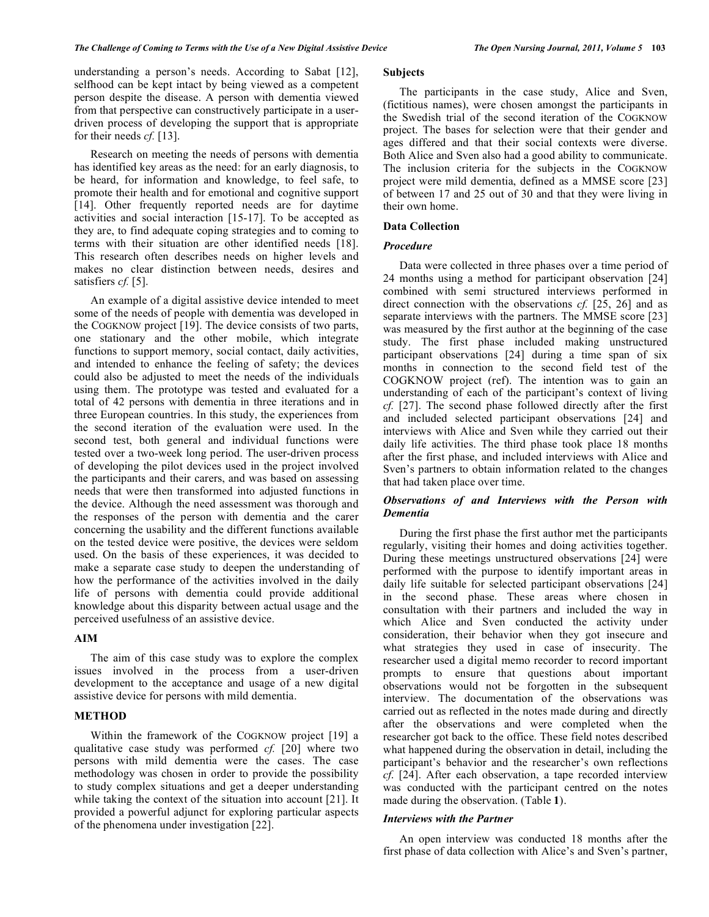understanding a person's needs. According to Sabat [12], selfhood can be kept intact by being viewed as a competent person despite the disease. A person with dementia viewed from that perspective can constructively participate in a userdriven process of developing the support that is appropriate for their needs *cf.* [13].

 Research on meeting the needs of persons with dementia has identified key areas as the need: for an early diagnosis, to be heard, for information and knowledge, to feel safe, to promote their health and for emotional and cognitive support [14]. Other frequently reported needs are for daytime activities and social interaction [15-17]. To be accepted as they are, to find adequate coping strategies and to coming to terms with their situation are other identified needs [18]. This research often describes needs on higher levels and makes no clear distinction between needs, desires and satisfiers *cf.* [5].

 An example of a digital assistive device intended to meet some of the needs of people with dementia was developed in the COGKNOW project [19]. The device consists of two parts, one stationary and the other mobile, which integrate functions to support memory, social contact, daily activities, and intended to enhance the feeling of safety; the devices could also be adjusted to meet the needs of the individuals using them. The prototype was tested and evaluated for a total of 42 persons with dementia in three iterations and in three European countries. In this study, the experiences from the second iteration of the evaluation were used. In the second test, both general and individual functions were tested over a two-week long period. The user-driven process of developing the pilot devices used in the project involved the participants and their carers, and was based on assessing needs that were then transformed into adjusted functions in the device. Although the need assessment was thorough and the responses of the person with dementia and the carer concerning the usability and the different functions available on the tested device were positive, the devices were seldom used. On the basis of these experiences, it was decided to make a separate case study to deepen the understanding of how the performance of the activities involved in the daily life of persons with dementia could provide additional knowledge about this disparity between actual usage and the perceived usefulness of an assistive device.

# **AIM**

 The aim of this case study was to explore the complex issues involved in the process from a user-driven development to the acceptance and usage of a new digital assistive device for persons with mild dementia.

# **METHOD**

 Within the framework of the COGKNOW project [19] a qualitative case study was performed *cf.* [20] where two persons with mild dementia were the cases. The case methodology was chosen in order to provide the possibility to study complex situations and get a deeper understanding while taking the context of the situation into account [21]. It provided a powerful adjunct for exploring particular aspects of the phenomena under investigation [22].

# **Subjects**

 The participants in the case study, Alice and Sven, (fictitious names), were chosen amongst the participants in the Swedish trial of the second iteration of the COGKNOW project. The bases for selection were that their gender and ages differed and that their social contexts were diverse. Both Alice and Sven also had a good ability to communicate. The inclusion criteria for the subjects in the COGKNOW project were mild dementia, defined as a MMSE score [23] of between 17 and 25 out of 30 and that they were living in their own home.

## **Data Collection**

# *Procedure*

 Data were collected in three phases over a time period of 24 months using a method for participant observation [24] combined with semi structured interviews performed in direct connection with the observations *cf.* [25, 26] and as separate interviews with the partners. The MMSE score [23] was measured by the first author at the beginning of the case study. The first phase included making unstructured participant observations [24] during a time span of six months in connection to the second field test of the COGKNOW project (ref). The intention was to gain an understanding of each of the participant's context of living *cf.* [27]. The second phase followed directly after the first and included selected participant observations [24] and interviews with Alice and Sven while they carried out their daily life activities. The third phase took place 18 months after the first phase, and included interviews with Alice and Sven's partners to obtain information related to the changes that had taken place over time.

# *Observations of and Interviews with the Person with Dementia*

 During the first phase the first author met the participants regularly, visiting their homes and doing activities together. During these meetings unstructured observations [24] were performed with the purpose to identify important areas in daily life suitable for selected participant observations [24] in the second phase. These areas where chosen in consultation with their partners and included the way in which Alice and Sven conducted the activity under consideration, their behavior when they got insecure and what strategies they used in case of insecurity. The researcher used a digital memo recorder to record important prompts to ensure that questions about important observations would not be forgotten in the subsequent interview. The documentation of the observations was carried out as reflected in the notes made during and directly after the observations and were completed when the researcher got back to the office. These field notes described what happened during the observation in detail, including the participant's behavior and the researcher's own reflections *cf*. [24]. After each observation, a tape recorded interview was conducted with the participant centred on the notes made during the observation. (Table **1**).

#### *Interviews with the Partner*

 An open interview was conducted 18 months after the first phase of data collection with Alice's and Sven's partner,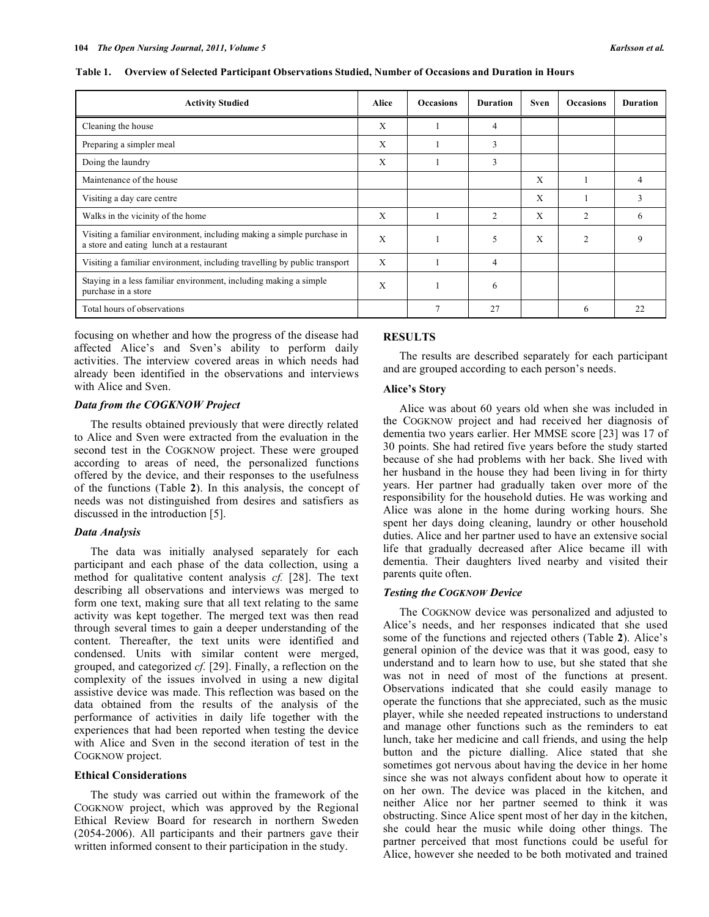| Table 1. Overview of Selected Participant Observations Studied, Number of Occasions and Duration in Hours |  |
|-----------------------------------------------------------------------------------------------------------|--|
|-----------------------------------------------------------------------------------------------------------|--|

| <b>Activity Studied</b>                                                                                            | Alice | <b>Occasions</b> | <b>Duration</b> | Sven | <b>Occasions</b> | <b>Duration</b> |
|--------------------------------------------------------------------------------------------------------------------|-------|------------------|-----------------|------|------------------|-----------------|
| Cleaning the house                                                                                                 | X     |                  | 4               |      |                  |                 |
| Preparing a simpler meal                                                                                           | X     |                  | 3               |      |                  |                 |
| Doing the laundry                                                                                                  | Χ     |                  | 3               |      |                  |                 |
| Maintenance of the house                                                                                           |       |                  |                 | X    |                  | 4               |
| Visiting a day care centre                                                                                         |       |                  |                 | X    |                  | 3               |
| Walks in the vicinity of the home                                                                                  | X     |                  | 2               | X    | $\overline{c}$   | 6               |
| Visiting a familiar environment, including making a simple purchase in<br>a store and eating lunch at a restaurant | X     |                  | 5               | X    | $\overline{2}$   | 9               |
| Visiting a familiar environment, including travelling by public transport                                          | X     |                  | 4               |      |                  |                 |
| Staying in a less familiar environment, including making a simple<br>purchase in a store                           | X     |                  | 6               |      |                  |                 |
| Total hours of observations                                                                                        |       | $\mathcal{I}$    | 27              |      | 6                | 22              |

focusing on whether and how the progress of the disease had affected Alice's and Sven's ability to perform daily activities. The interview covered areas in which needs had already been identified in the observations and interviews with Alice and Sven.

# *Data from the COGKNOW Project*

 The results obtained previously that were directly related to Alice and Sven were extracted from the evaluation in the second test in the COGKNOW project. These were grouped according to areas of need, the personalized functions offered by the device, and their responses to the usefulness of the functions (Table **2**). In this analysis, the concept of needs was not distinguished from desires and satisfiers as discussed in the introduction [5].

#### *Data Analysis*

 The data was initially analysed separately for each participant and each phase of the data collection, using a method for qualitative content analysis *cf.* [28]. The text describing all observations and interviews was merged to form one text, making sure that all text relating to the same activity was kept together. The merged text was then read through several times to gain a deeper understanding of the content. Thereafter, the text units were identified and condensed. Units with similar content were merged, grouped, and categorized *cf.* [29]. Finally, a reflection on the complexity of the issues involved in using a new digital assistive device was made. This reflection was based on the data obtained from the results of the analysis of the performance of activities in daily life together with the experiences that had been reported when testing the device with Alice and Sven in the second iteration of test in the COGKNOW project.

## **Ethical Considerations**

 The study was carried out within the framework of the COGKNOW project, which was approved by the Regional Ethical Review Board for research in northern Sweden (2054-2006). All participants and their partners gave their written informed consent to their participation in the study.

#### **RESULTS**

 The results are described separately for each participant and are grouped according to each person's needs.

#### **Alice's Story**

 Alice was about 60 years old when she was included in the COGKNOW project and had received her diagnosis of dementia two years earlier. Her MMSE score [23] was 17 of 30 points. She had retired five years before the study started because of she had problems with her back. She lived with her husband in the house they had been living in for thirty years. Her partner had gradually taken over more of the responsibility for the household duties. He was working and Alice was alone in the home during working hours. She spent her days doing cleaning, laundry or other household duties. Alice and her partner used to have an extensive social life that gradually decreased after Alice became ill with dementia. Their daughters lived nearby and visited their parents quite often.

# *Testing the COGKNOW Device*

 The COGKNOW device was personalized and adjusted to Alice's needs, and her responses indicated that she used some of the functions and rejected others (Table **2**). Alice's general opinion of the device was that it was good, easy to understand and to learn how to use, but she stated that she was not in need of most of the functions at present. Observations indicated that she could easily manage to operate the functions that she appreciated, such as the music player, while she needed repeated instructions to understand and manage other functions such as the reminders to eat lunch, take her medicine and call friends, and using the help button and the picture dialling. Alice stated that she sometimes got nervous about having the device in her home since she was not always confident about how to operate it on her own. The device was placed in the kitchen, and neither Alice nor her partner seemed to think it was obstructing. Since Alice spent most of her day in the kitchen, she could hear the music while doing other things. The partner perceived that most functions could be useful for Alice, however she needed to be both motivated and trained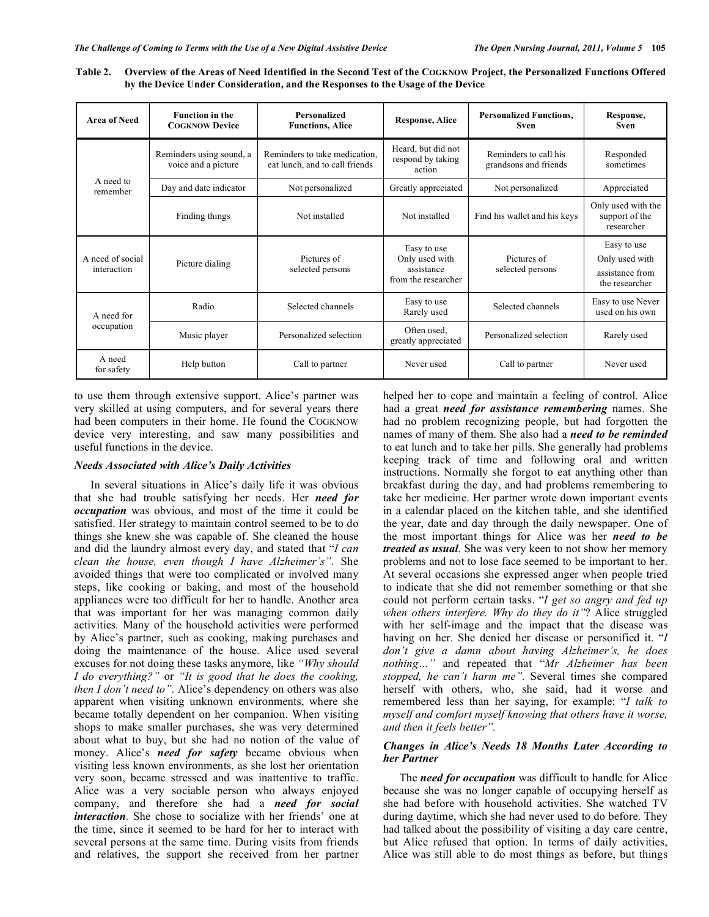| Table 2. Overview of the Areas of Need Identified in the Second Test of the COGKNOW Project, the Personalized Functions Offered |
|---------------------------------------------------------------------------------------------------------------------------------|
| by the Device Under Consideration, and the Responses to the Usage of the Device                                                 |

| <b>Area of Need</b>             | <b>Function in the</b><br><b>COGKNOW Device</b> | Personalized<br><b>Functions, Alice</b>                         | <b>Response, Alice</b>                                             | <b>Personalized Functions.</b><br><b>Sven</b>  | Response,<br><b>Sven</b>                                           |
|---------------------------------|-------------------------------------------------|-----------------------------------------------------------------|--------------------------------------------------------------------|------------------------------------------------|--------------------------------------------------------------------|
| A need to<br>remember           | Reminders using sound, a<br>voice and a picture | Reminders to take medication,<br>eat lunch, and to call friends | Heard, but did not<br>respond by taking<br>action                  | Reminders to call his<br>grandsons and friends | Responded<br>sometimes                                             |
|                                 | Day and date indicator                          | Not personalized                                                | Greatly appreciated                                                | Not personalized                               | Appreciated                                                        |
|                                 | Finding things                                  | Not installed                                                   | Not installed                                                      | Find his wallet and his keys                   | Only used with the<br>support of the<br>researcher                 |
| A need of social<br>interaction | Picture dialing                                 | Pictures of<br>selected persons                                 | Easy to use<br>Only used with<br>assistance<br>from the researcher | Pictures of<br>selected persons                | Easy to use<br>Only used with<br>assistance from<br>the researcher |
| A need for<br>occupation        | Radio                                           | Selected channels                                               | Easy to use<br>Rarely used                                         | Selected channels                              | Easy to use Never<br>used on his own                               |
|                                 | Music player                                    | Personalized selection                                          | Often used,<br>greatly appreciated                                 | Personalized selection                         | Rarely used                                                        |
| A need<br>for safety            | Help button                                     | Call to partner                                                 | Never used                                                         | Call to partner                                | Never used                                                         |

to use them through extensive support. Alice's partner was very skilled at using computers, and for several years there had been computers in their home. He found the COGKNOW device very interesting, and saw many possibilities and useful functions in the device.

# *Needs Associated with Alice's Daily Activities*

 In several situations in Alice's daily life it was obvious that she had trouble satisfying her needs. Her *need for occupation* was obvious, and most of the time it could be satisfied. Her strategy to maintain control seemed to be to do things she knew she was capable of. She cleaned the house and did the laundry almost every day, and stated that "*I can clean the house, even though I have Alzheimer's".* She avoided things that were too complicated or involved many steps, like cooking or baking, and most of the household appliances were too difficult for her to handle. Another area that was important for her was managing common daily activities*.* Many of the household activities were performed by Alice's partner, such as cooking, making purchases and doing the maintenance of the house. Alice used several excuses for not doing these tasks anymore, like *"Why should I do everything?"* or *"It is good that he does the cooking, then I don't need to".* Alice's dependency on others was also apparent when visiting unknown environments, where she became totally dependent on her companion. When visiting shops to make smaller purchases, she was very determined about what to buy, but she had no notion of the value of money. Alice's *need for safety* became obvious when visiting less known environments, as she lost her orientation very soon, became stressed and was inattentive to traffic. Alice was a very sociable person who always enjoyed company, and therefore she had a *need for social interaction*. She chose to socialize with her friends' one at the time, since it seemed to be hard for her to interact with several persons at the same time. During visits from friends and relatives, the support she received from her partner

helped her to cope and maintain a feeling of control. Alice had a great *need for assistance remembering* names. She had no problem recognizing people, but had forgotten the names of many of them. She also had a *need to be reminded* to eat lunch and to take her pills. She generally had problems keeping track of time and following oral and written instructions. Normally she forgot to eat anything other than breakfast during the day, and had problems remembering to take her medicine. Her partner wrote down important events in a calendar placed on the kitchen table, and she identified the year, date and day through the daily newspaper. One of the most important things for Alice was her *need to be treated as usual.* She was very keen to not show her memory problems and not to lose face seemed to be important to her. At several occasions she expressed anger when people tried to indicate that she did not remember something or that she could not perform certain tasks. "*I get so angry and fed up when others interfere. Why do they do it"*? Alice struggled with her self-image and the impact that the disease was having on her. She denied her disease or personified it. "*I don't give a damn about having Alzheimer's, he does nothing…"* and repeated that "*Mr Alzheimer has been stopped, he can't harm me".* Several times she compared herself with others, who, she said, had it worse and remembered less than her saying, for example: "*I talk to myself and comfort myself knowing that others have it worse, and then it feels better".* 

# *Changes in Alice's Needs 18 Months Later According to her Partner*

 The *need for occupation* was difficult to handle for Alice because she was no longer capable of occupying herself as she had before with household activities. She watched TV during daytime, which she had never used to do before. They had talked about the possibility of visiting a day care centre, but Alice refused that option. In terms of daily activities, Alice was still able to do most things as before, but things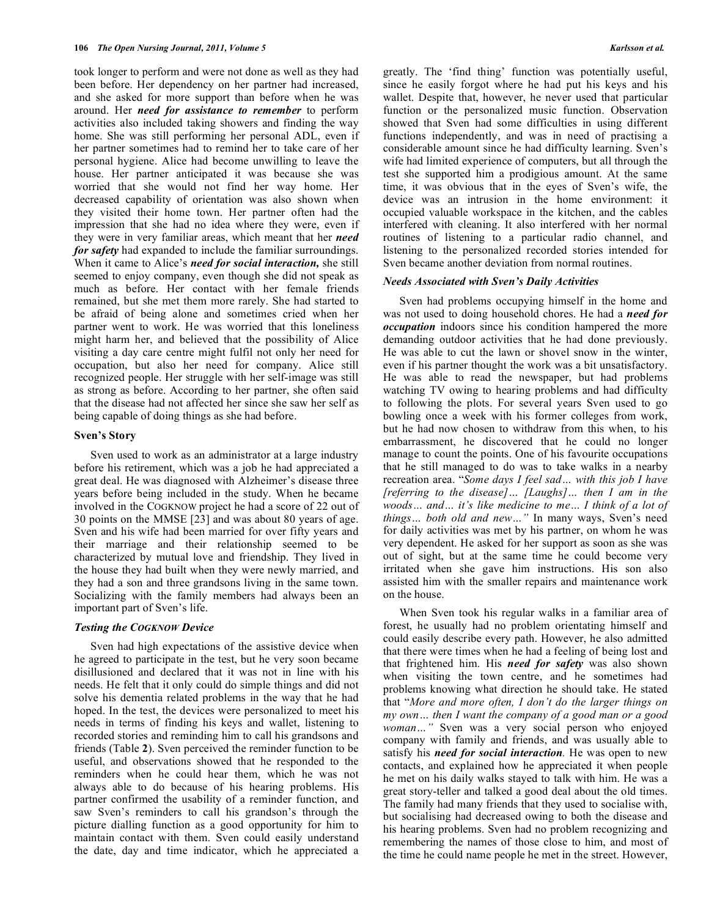took longer to perform and were not done as well as they had been before. Her dependency on her partner had increased, and she asked for more support than before when he was around. Her *need for assistance to remember* to perform activities also included taking showers and finding the way home. She was still performing her personal ADL, even if her partner sometimes had to remind her to take care of her personal hygiene. Alice had become unwilling to leave the house. Her partner anticipated it was because she was worried that she would not find her way home. Her decreased capability of orientation was also shown when they visited their home town. Her partner often had the impression that she had no idea where they were, even if they were in very familiar areas, which meant that her *need for safety* had expanded to include the familiar surroundings. When it came to Alice's *need for social interaction,* she still seemed to enjoy company, even though she did not speak as much as before. Her contact with her female friends remained, but she met them more rarely. She had started to be afraid of being alone and sometimes cried when her partner went to work. He was worried that this loneliness might harm her, and believed that the possibility of Alice visiting a day care centre might fulfil not only her need for occupation, but also her need for company. Alice still recognized people. Her struggle with her self-image was still as strong as before. According to her partner, she often said that the disease had not affected her since she saw her self as being capable of doing things as she had before.

#### **Sven's Story**

 Sven used to work as an administrator at a large industry before his retirement, which was a job he had appreciated a great deal. He was diagnosed with Alzheimer's disease three years before being included in the study. When he became involved in the COGKNOW project he had a score of 22 out of 30 points on the MMSE [23] and was about 80 years of age. Sven and his wife had been married for over fifty years and their marriage and their relationship seemed to be characterized by mutual love and friendship. They lived in the house they had built when they were newly married, and they had a son and three grandsons living in the same town. Socializing with the family members had always been an important part of Sven's life.

# *Testing the COGKNOW Device*

 Sven had high expectations of the assistive device when he agreed to participate in the test, but he very soon became disillusioned and declared that it was not in line with his needs. He felt that it only could do simple things and did not solve his dementia related problems in the way that he had hoped. In the test, the devices were personalized to meet his needs in terms of finding his keys and wallet, listening to recorded stories and reminding him to call his grandsons and friends (Table **2**). Sven perceived the reminder function to be useful, and observations showed that he responded to the reminders when he could hear them, which he was not always able to do because of his hearing problems. His partner confirmed the usability of a reminder function, and saw Sven's reminders to call his grandson's through the picture dialling function as a good opportunity for him to maintain contact with them. Sven could easily understand the date, day and time indicator, which he appreciated a

greatly. The 'find thing' function was potentially useful, since he easily forgot where he had put his keys and his wallet. Despite that, however, he never used that particular function or the personalized music function. Observation showed that Sven had some difficulties in using different functions independently, and was in need of practising a considerable amount since he had difficulty learning. Sven's wife had limited experience of computers, but all through the test she supported him a prodigious amount. At the same time, it was obvious that in the eyes of Sven's wife, the device was an intrusion in the home environment: it occupied valuable workspace in the kitchen, and the cables interfered with cleaning. It also interfered with her normal routines of listening to a particular radio channel, and listening to the personalized recorded stories intended for Sven became another deviation from normal routines.

### *Needs Associated with Sven's Daily Activities*

 Sven had problems occupying himself in the home and was not used to doing household chores. He had a *need for occupation* indoors since his condition hampered the more demanding outdoor activities that he had done previously. He was able to cut the lawn or shovel snow in the winter, even if his partner thought the work was a bit unsatisfactory. He was able to read the newspaper, but had problems watching TV owing to hearing problems and had difficulty to following the plots. For several years Sven used to go bowling once a week with his former colleges from work, but he had now chosen to withdraw from this when, to his embarrassment, he discovered that he could no longer manage to count the points. One of his favourite occupations that he still managed to do was to take walks in a nearby recreation area. "*Some days I feel sad… with this job I have [referring to the disease]… [Laughs]… then I am in the woods… and… it's like medicine to me… I think of a lot of things… both old and new…"* In many ways, Sven's need for daily activities was met by his partner, on whom he was very dependent. He asked for her support as soon as she was out of sight, but at the same time he could become very irritated when she gave him instructions. His son also assisted him with the smaller repairs and maintenance work on the house.

 When Sven took his regular walks in a familiar area of forest, he usually had no problem orientating himself and could easily describe every path. However, he also admitted that there were times when he had a feeling of being lost and that frightened him. His *need for safety* was also shown when visiting the town centre, and he sometimes had problems knowing what direction he should take. He stated that "*More and more often, I don't do the larger things on my own… then I want the company of a good man or a good*  woman..." Sven was a very social person who enjoyed company with family and friends, and was usually able to satisfy his *need for social interaction.* He was open to new contacts, and explained how he appreciated it when people he met on his daily walks stayed to talk with him. He was a great story-teller and talked a good deal about the old times. The family had many friends that they used to socialise with, but socialising had decreased owing to both the disease and his hearing problems. Sven had no problem recognizing and remembering the names of those close to him, and most of the time he could name people he met in the street. However,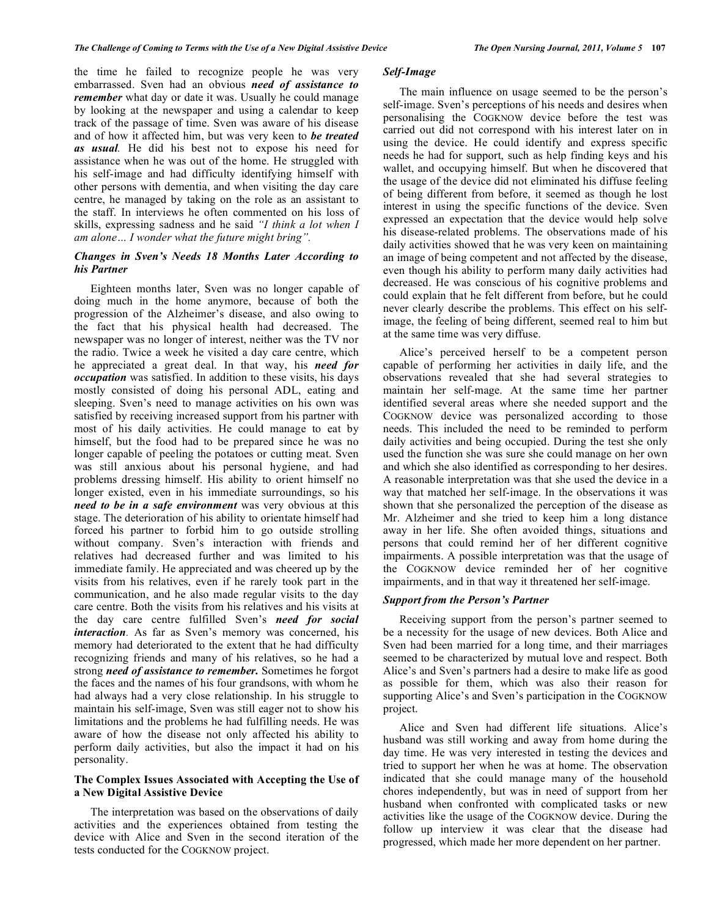the time he failed to recognize people he was very embarrassed. Sven had an obvious *need of assistance to remember* what day or date it was. Usually he could manage by looking at the newspaper and using a calendar to keep track of the passage of time. Sven was aware of his disease and of how it affected him, but was very keen to *be treated as usual.* He did his best not to expose his need for assistance when he was out of the home. He struggled with his self-image and had difficulty identifying himself with other persons with dementia, and when visiting the day care centre, he managed by taking on the role as an assistant to the staff. In interviews he often commented on his loss of skills, expressing sadness and he said *"I think a lot when I am alone… I wonder what the future might bring".* 

# *Changes in Sven's Needs 18 Months Later According to his Partner*

 Eighteen months later, Sven was no longer capable of doing much in the home anymore, because of both the progression of the Alzheimer's disease, and also owing to the fact that his physical health had decreased. The newspaper was no longer of interest, neither was the TV nor the radio. Twice a week he visited a day care centre, which he appreciated a great deal. In that way, his *need for occupation* was satisfied. In addition to these visits, his days mostly consisted of doing his personal ADL, eating and sleeping. Sven's need to manage activities on his own was satisfied by receiving increased support from his partner with most of his daily activities. He could manage to eat by himself, but the food had to be prepared since he was no longer capable of peeling the potatoes or cutting meat. Sven was still anxious about his personal hygiene, and had problems dressing himself. His ability to orient himself no longer existed, even in his immediate surroundings, so his *need to be in a safe environment* was very obvious at this stage. The deterioration of his ability to orientate himself had forced his partner to forbid him to go outside strolling without company. Sven's interaction with friends and relatives had decreased further and was limited to his immediate family. He appreciated and was cheered up by the visits from his relatives, even if he rarely took part in the communication, and he also made regular visits to the day care centre. Both the visits from his relatives and his visits at the day care centre fulfilled Sven's *need for social interaction*. As far as Sven's memory was concerned, his memory had deteriorated to the extent that he had difficulty recognizing friends and many of his relatives, so he had a strong *need of assistance to remember.* Sometimes he forgot the faces and the names of his four grandsons, with whom he had always had a very close relationship. In his struggle to maintain his self-image, Sven was still eager not to show his limitations and the problems he had fulfilling needs. He was aware of how the disease not only affected his ability to perform daily activities, but also the impact it had on his personality.

# **The Complex Issues Associated with Accepting the Use of a New Digital Assistive Device**

 The interpretation was based on the observations of daily activities and the experiences obtained from testing the device with Alice and Sven in the second iteration of the tests conducted for the COGKNOW project.

# *Self-Image*

 The main influence on usage seemed to be the person's self-image. Sven's perceptions of his needs and desires when personalising the COGKNOW device before the test was carried out did not correspond with his interest later on in using the device. He could identify and express specific needs he had for support, such as help finding keys and his wallet, and occupying himself. But when he discovered that the usage of the device did not eliminated his diffuse feeling of being different from before, it seemed as though he lost interest in using the specific functions of the device. Sven expressed an expectation that the device would help solve his disease-related problems. The observations made of his daily activities showed that he was very keen on maintaining an image of being competent and not affected by the disease, even though his ability to perform many daily activities had decreased. He was conscious of his cognitive problems and could explain that he felt different from before, but he could never clearly describe the problems. This effect on his selfimage, the feeling of being different, seemed real to him but at the same time was very diffuse.

 Alice's perceived herself to be a competent person capable of performing her activities in daily life, and the observations revealed that she had several strategies to maintain her self-mage. At the same time her partner identified several areas where she needed support and the COGKNOW device was personalized according to those needs. This included the need to be reminded to perform daily activities and being occupied. During the test she only used the function she was sure she could manage on her own and which she also identified as corresponding to her desires. A reasonable interpretation was that she used the device in a way that matched her self-image. In the observations it was shown that she personalized the perception of the disease as Mr. Alzheimer and she tried to keep him a long distance away in her life. She often avoided things, situations and persons that could remind her of her different cognitive impairments. A possible interpretation was that the usage of the COGKNOW device reminded her of her cognitive impairments, and in that way it threatened her self-image.

# *Support from the Person's Partner*

 Receiving support from the person's partner seemed to be a necessity for the usage of new devices. Both Alice and Sven had been married for a long time, and their marriages seemed to be characterized by mutual love and respect. Both Alice's and Sven's partners had a desire to make life as good as possible for them, which was also their reason for supporting Alice's and Sven's participation in the COGKNOW project.

 Alice and Sven had different life situations. Alice's husband was still working and away from home during the day time. He was very interested in testing the devices and tried to support her when he was at home. The observation indicated that she could manage many of the household chores independently, but was in need of support from her husband when confronted with complicated tasks or new activities like the usage of the COGKNOW device. During the follow up interview it was clear that the disease had progressed, which made her more dependent on her partner.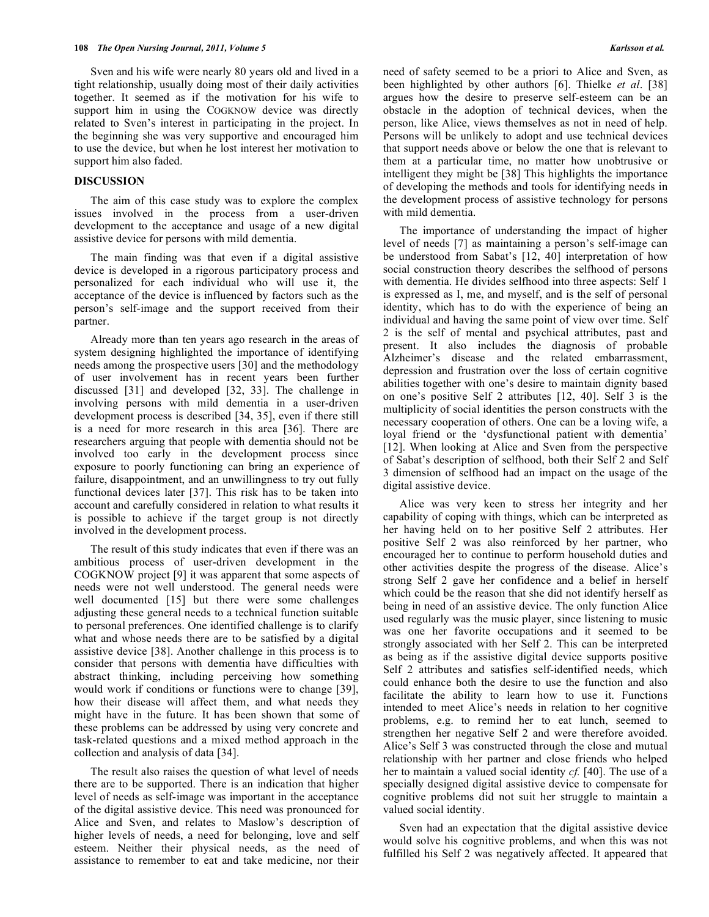Sven and his wife were nearly 80 years old and lived in a tight relationship, usually doing most of their daily activities together. It seemed as if the motivation for his wife to support him in using the COGKNOW device was directly related to Sven's interest in participating in the project. In the beginning she was very supportive and encouraged him to use the device, but when he lost interest her motivation to support him also faded.

# **DISCUSSION**

 The aim of this case study was to explore the complex issues involved in the process from a user-driven development to the acceptance and usage of a new digital assistive device for persons with mild dementia.

 The main finding was that even if a digital assistive device is developed in a rigorous participatory process and personalized for each individual who will use it, the acceptance of the device is influenced by factors such as the person's self-image and the support received from their partner.

 Already more than ten years ago research in the areas of system designing highlighted the importance of identifying needs among the prospective users [30] and the methodology of user involvement has in recent years been further discussed [31] and developed [32, 33]. The challenge in involving persons with mild dementia in a user-driven development process is described [34, 35], even if there still is a need for more research in this area [36]. There are researchers arguing that people with dementia should not be involved too early in the development process since exposure to poorly functioning can bring an experience of failure, disappointment, and an unwillingness to try out fully functional devices later [37]. This risk has to be taken into account and carefully considered in relation to what results it is possible to achieve if the target group is not directly involved in the development process.

 The result of this study indicates that even if there was an ambitious process of user-driven development in the COGKNOW project [9] it was apparent that some aspects of needs were not well understood. The general needs were well documented [15] but there were some challenges adjusting these general needs to a technical function suitable to personal preferences. One identified challenge is to clarify what and whose needs there are to be satisfied by a digital assistive device [38]. Another challenge in this process is to consider that persons with dementia have difficulties with abstract thinking, including perceiving how something would work if conditions or functions were to change [39], how their disease will affect them, and what needs they might have in the future. It has been shown that some of these problems can be addressed by using very concrete and task-related questions and a mixed method approach in the collection and analysis of data [34].

 The result also raises the question of what level of needs there are to be supported. There is an indication that higher level of needs as self-image was important in the acceptance of the digital assistive device. This need was pronounced for Alice and Sven, and relates to Maslow's description of higher levels of needs, a need for belonging, love and self esteem. Neither their physical needs, as the need of assistance to remember to eat and take medicine, nor their

need of safety seemed to be a priori to Alice and Sven, as been highlighted by other authors [6]. Thielke *et al*. [38] argues how the desire to preserve self-esteem can be an obstacle in the adoption of technical devices, when the person, like Alice, views themselves as not in need of help. Persons will be unlikely to adopt and use technical devices that support needs above or below the one that is relevant to them at a particular time, no matter how unobtrusive or intelligent they might be [38] This highlights the importance of developing the methods and tools for identifying needs in the development process of assistive technology for persons with mild dementia.

 The importance of understanding the impact of higher level of needs [7] as maintaining a person's self-image can be understood from Sabat's [12, 40] interpretation of how social construction theory describes the selfhood of persons with dementia. He divides selfhood into three aspects: Self 1 is expressed as I, me, and myself, and is the self of personal identity, which has to do with the experience of being an individual and having the same point of view over time. Self 2 is the self of mental and psychical attributes, past and present. It also includes the diagnosis of probable Alzheimer's disease and the related embarrassment, depression and frustration over the loss of certain cognitive abilities together with one's desire to maintain dignity based on one's positive Self 2 attributes [12, 40]. Self 3 is the multiplicity of social identities the person constructs with the necessary cooperation of others. One can be a loving wife, a loyal friend or the 'dysfunctional patient with dementia' [12]. When looking at Alice and Sven from the perspective of Sabat's description of selfhood, both their Self 2 and Self 3 dimension of selfhood had an impact on the usage of the digital assistive device.

 Alice was very keen to stress her integrity and her capability of coping with things, which can be interpreted as her having held on to her positive Self 2 attributes. Her positive Self 2 was also reinforced by her partner, who encouraged her to continue to perform household duties and other activities despite the progress of the disease. Alice's strong Self 2 gave her confidence and a belief in herself which could be the reason that she did not identify herself as being in need of an assistive device. The only function Alice used regularly was the music player, since listening to music was one her favorite occupations and it seemed to be strongly associated with her Self 2. This can be interpreted as being as if the assistive digital device supports positive Self 2 attributes and satisfies self-identified needs, which could enhance both the desire to use the function and also facilitate the ability to learn how to use it. Functions intended to meet Alice's needs in relation to her cognitive problems, e.g. to remind her to eat lunch, seemed to strengthen her negative Self 2 and were therefore avoided. Alice's Self 3 was constructed through the close and mutual relationship with her partner and close friends who helped her to maintain a valued social identity *cf.* [40]. The use of a specially designed digital assistive device to compensate for cognitive problems did not suit her struggle to maintain a valued social identity.

 Sven had an expectation that the digital assistive device would solve his cognitive problems, and when this was not fulfilled his Self 2 was negatively affected. It appeared that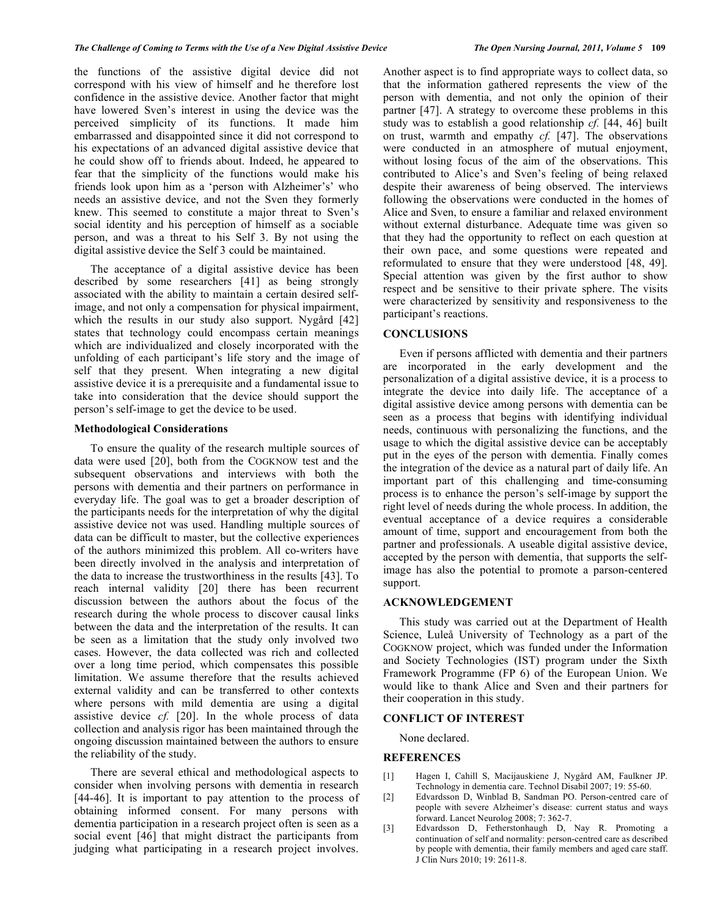the functions of the assistive digital device did not correspond with his view of himself and he therefore lost confidence in the assistive device. Another factor that might have lowered Sven's interest in using the device was the perceived simplicity of its functions. It made him embarrassed and disappointed since it did not correspond to his expectations of an advanced digital assistive device that he could show off to friends about. Indeed, he appeared to fear that the simplicity of the functions would make his friends look upon him as a 'person with Alzheimer's' who needs an assistive device, and not the Sven they formerly knew. This seemed to constitute a major threat to Sven's social identity and his perception of himself as a sociable person, and was a threat to his Self 3. By not using the digital assistive device the Self 3 could be maintained.

 The acceptance of a digital assistive device has been described by some researchers [41] as being strongly associated with the ability to maintain a certain desired selfimage, and not only a compensation for physical impairment, which the results in our study also support. Nygård [42] states that technology could encompass certain meanings which are individualized and closely incorporated with the unfolding of each participant's life story and the image of self that they present. When integrating a new digital assistive device it is a prerequisite and a fundamental issue to take into consideration that the device should support the person's self-image to get the device to be used.

# **Methodological Considerations**

 To ensure the quality of the research multiple sources of data were used [20], both from the COGKNOW test and the subsequent observations and interviews with both the persons with dementia and their partners on performance in everyday life. The goal was to get a broader description of the participants needs for the interpretation of why the digital assistive device not was used. Handling multiple sources of data can be difficult to master, but the collective experiences of the authors minimized this problem. All co-writers have been directly involved in the analysis and interpretation of the data to increase the trustworthiness in the results [43]. To reach internal validity [20] there has been recurrent discussion between the authors about the focus of the research during the whole process to discover causal links between the data and the interpretation of the results. It can be seen as a limitation that the study only involved two cases. However, the data collected was rich and collected over a long time period, which compensates this possible limitation. We assume therefore that the results achieved external validity and can be transferred to other contexts where persons with mild dementia are using a digital assistive device *cf.* [20]. In the whole process of data collection and analysis rigor has been maintained through the ongoing discussion maintained between the authors to ensure the reliability of the study.

 There are several ethical and methodological aspects to consider when involving persons with dementia in research [44-46]. It is important to pay attention to the process of obtaining informed consent. For many persons with dementia participation in a research project often is seen as a social event [46] that might distract the participants from judging what participating in a research project involves.

Another aspect is to find appropriate ways to collect data, so that the information gathered represents the view of the person with dementia, and not only the opinion of their partner [47]. A strategy to overcome these problems in this study was to establish a good relationship *cf.* [44, 46] built on trust, warmth and empathy *cf.* [47]. The observations were conducted in an atmosphere of mutual enjoyment, without losing focus of the aim of the observations. This contributed to Alice's and Sven's feeling of being relaxed despite their awareness of being observed. The interviews following the observations were conducted in the homes of Alice and Sven, to ensure a familiar and relaxed environment without external disturbance. Adequate time was given so that they had the opportunity to reflect on each question at their own pace, and some questions were repeated and reformulated to ensure that they were understood [48, 49]. Special attention was given by the first author to show respect and be sensitive to their private sphere. The visits were characterized by sensitivity and responsiveness to the participant's reactions.

#### **CONCLUSIONS**

 Even if persons afflicted with dementia and their partners are incorporated in the early development and the personalization of a digital assistive device, it is a process to integrate the device into daily life. The acceptance of a digital assistive device among persons with dementia can be seen as a process that begins with identifying individual needs, continuous with personalizing the functions, and the usage to which the digital assistive device can be acceptably put in the eyes of the person with dementia. Finally comes the integration of the device as a natural part of daily life. An important part of this challenging and time-consuming process is to enhance the person's self-image by support the right level of needs during the whole process. In addition, the eventual acceptance of a device requires a considerable amount of time, support and encouragement from both the partner and professionals. A useable digital assistive device, accepted by the person with dementia, that supports the selfimage has also the potential to promote a parson-centered support.

# **ACKNOWLEDGEMENT**

 This study was carried out at the Department of Health Science, Luleå University of Technology as a part of the COGKNOW project, which was funded under the Information and Society Technologies (IST) program under the Sixth Framework Programme (FP 6) of the European Union. We would like to thank Alice and Sven and their partners for their cooperation in this study.

# **CONFLICT OF INTEREST**

None declared.

# **REFERENCES**

- [1] Hagen I, Cahill S, Macijauskiene J, Nygård AM, Faulkner JP. Technology in dementia care. Technol Disabil 2007; 19: 55-60.
- [2] Edvardsson D, Winblad B, Sandman PO. Person-centred care of people with severe Alzheimer's disease: current status and ways forward. Lancet Neurolog 2008; 7: 362-7.
- [3] Edvardsson D, Fetherstonhaugh D, Nay R. Promoting a continuation of self and normality: person-centred care as described by people with dementia, their family members and aged care staff. J Clin Nurs 2010; 19: 2611-8.